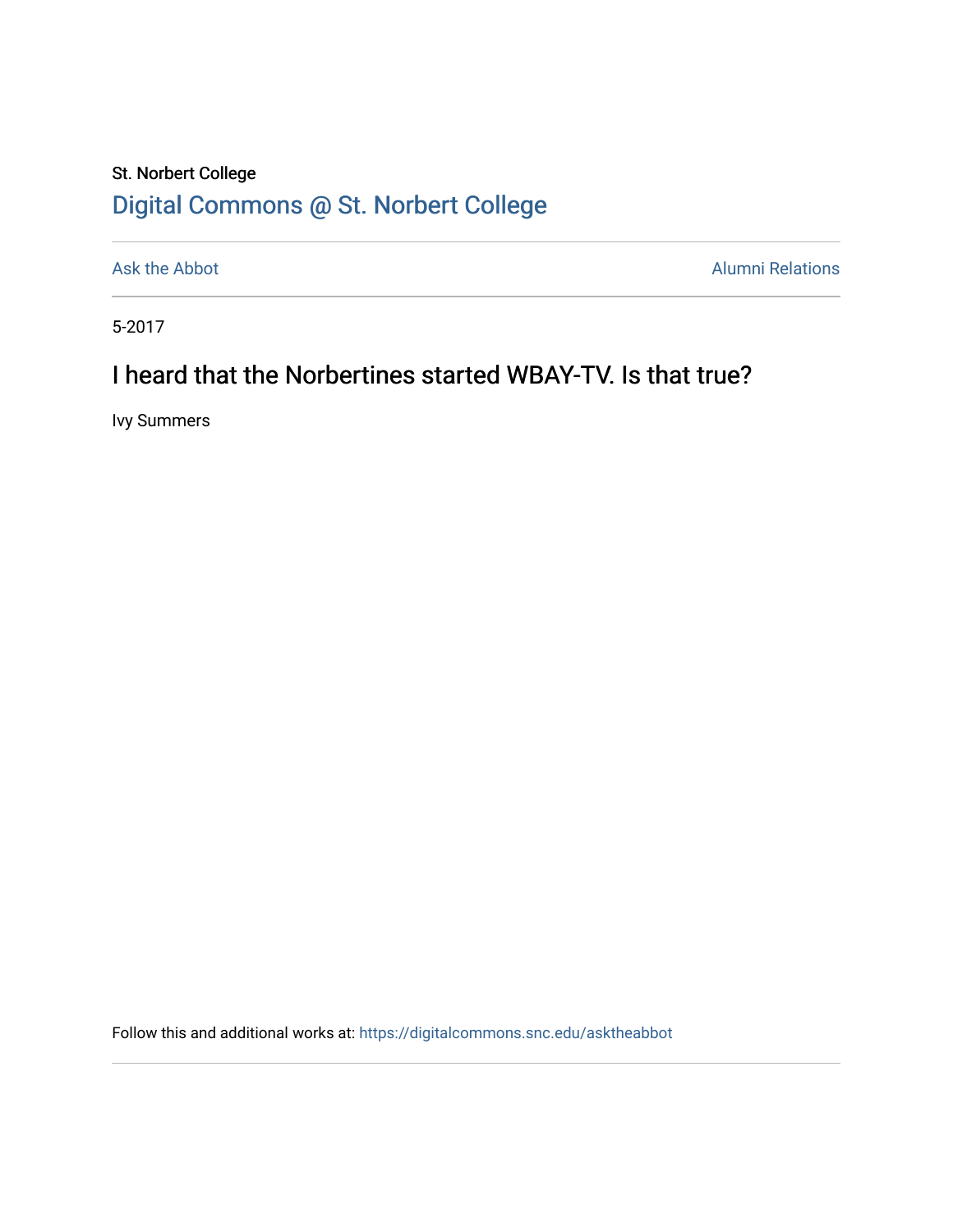## St. Norbert College [Digital Commons @ St. Norbert College](https://digitalcommons.snc.edu/)

[Ask the Abbot](https://digitalcommons.snc.edu/asktheabbot) **Alumni Relations** Alumni Relations

5-2017

## I heard that the Norbertines started WBAY-TV. Is that true?

Ivy Summers

Follow this and additional works at: [https://digitalcommons.snc.edu/asktheabbot](https://digitalcommons.snc.edu/asktheabbot?utm_source=digitalcommons.snc.edu%2Fasktheabbot%2F133&utm_medium=PDF&utm_campaign=PDFCoverPages)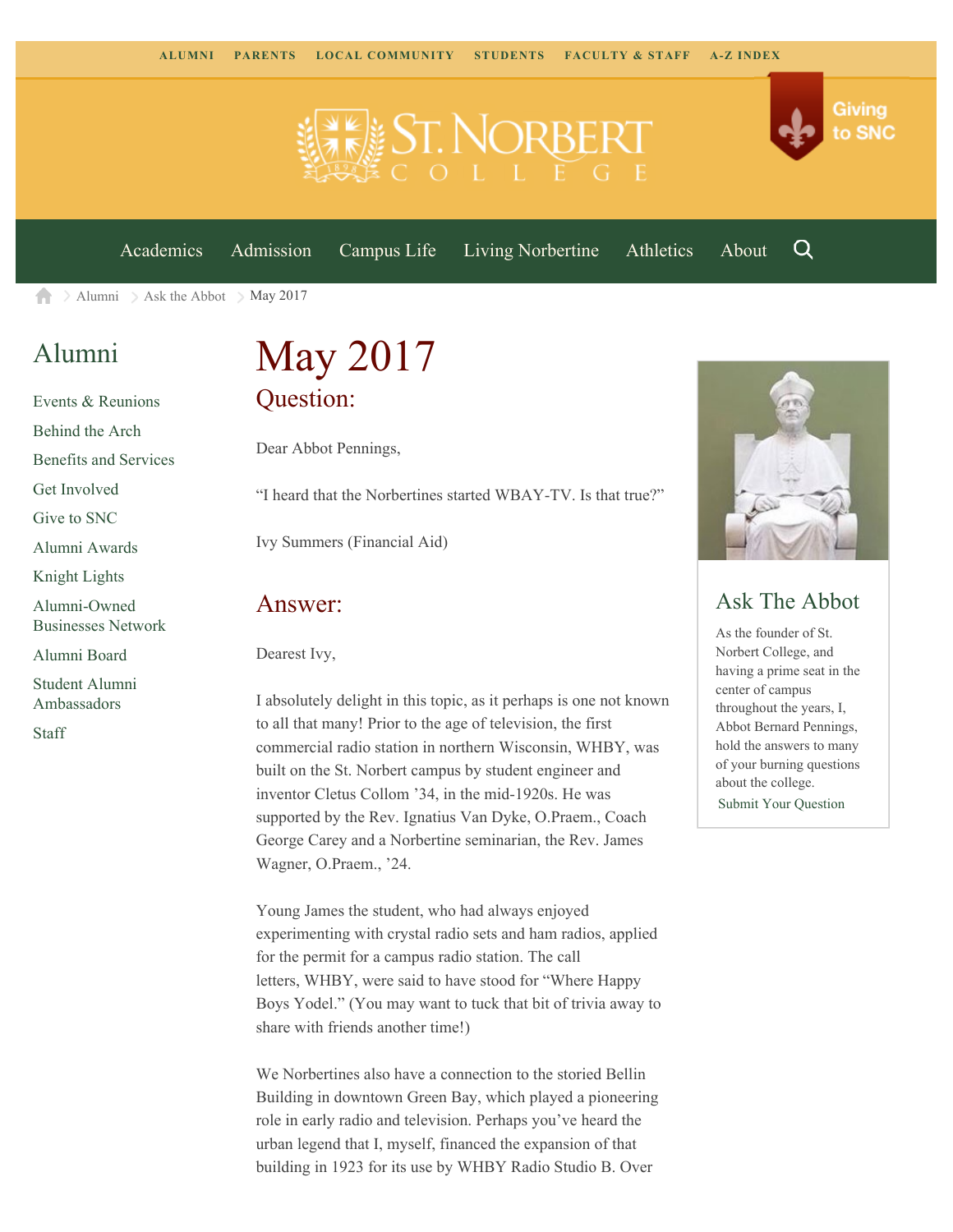

[Academics](https://www.snc.edu/academics) [Admission](https://www.snc.edu/admission) [Campus Life](https://www.snc.edu/campuslife) [Living Norbertine](https://www.snc.edu/livingnorbertine) [Athletics](https://www.snc.edu/athletics) [About](https://www.snc.edu/about)

Q

Giving

to SNC

[Alumni](https://www.snc.edu/alumni/)  $\geq$  [Ask the Abbot](https://www.snc.edu/alumni/abbot/)  $\geq$  May 2017 合

### [Alumni](https://www.snc.edu/alumni/index.html)

[Events & Reunions](https://www.snc.edu/alumni/event/index.html) [Behind the Arch](https://www.snc.edu/alumni/event/behindthearch/) [Benefits and Services](https://www.snc.edu/alumni/benefits.html) [Get Involved](https://www.snc.edu/alumni/getinvolved.html) [Give to SNC](http://giving.snc.edu/) [Alumni Awards](https://www.snc.edu/alumni/awards/index.html) [Knight Lights](https://www.snc.edu/alumni/knightlights/index.html) [Alumni-Owned](https://www.snc.edu/alumni/directory/index.html) [Businesses Network](https://www.snc.edu/alumni/directory/index.html) [Alumni Board](https://www.snc.edu/alumni/alumniboard.html) [Student Alumni](https://www.snc.edu/alumni/saa.html) [Ambassadors](https://www.snc.edu/alumni/saa.html)

[Staff](https://www.snc.edu/alumni/contactus.html)

# May 2017 Question:

Dear Abbot Pennings,

"I heard that the Norbertines started WBAY-TV. Is that true?"

Ivy Summers (Financial Aid)

#### Answer:

Dearest Ivy,

I absolutely delight in this topic, as it perhaps is one not known to all that many! Prior to the age of television, the first commercial radio station in northern Wisconsin, WHBY, was built on the St. Norbert campus by student engineer and inventor Cletus Collom '34, in the mid-1920s. He was supported by the Rev. Ignatius Van Dyke, O.Praem., Coach George Carey and a Norbertine seminarian, the Rev. James Wagner, O.Praem., '24.

Young James the student, who had always enjoyed experimenting with crystal radio sets and ham radios, applied for the permit for a campus radio station. The call letters, WHBY, were said to have stood for "Where Happy Boys Yodel." (You may want to tuck that bit of trivia away to share with friends another time!)

We Norbertines also have a connection to the storied Bellin Building in downtown Green Bay, which played a pioneering role in early radio and television. Perhaps you've heard the urban legend that I, myself, financed the expansion of that building in 1923 for its use by WHBY Radio Studio B. Over



### Ask The Abbot

As the founder of St. Norbert College, and having a prime seat in the center of campus throughout the years, I, Abbot Bernard Pennings, hold the answers to many of your burning questions about the college. [Submit Your Question](https://www.snc.edu/alumni/abbot/index.html)